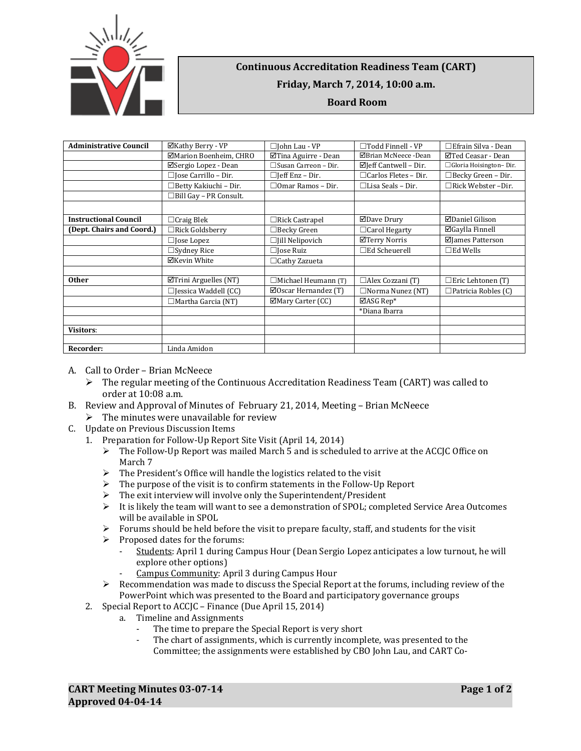

## **Continuous Accreditation Readiness Team (CART) Friday, March 7, 2014, 10:00 a.m. Board Room**

| <b>Administrative Council</b> | ⊠Kathy Berry - VP             | $\Box$ John Lau - VP            | □Todd Finnell - VP               | $\Box$ Efrain Silva - Dean |
|-------------------------------|-------------------------------|---------------------------------|----------------------------------|----------------------------|
|                               | ⊠Marion Boenheim, CHRO        | ⊠Tina Aguirre - Dean            | ⊠Brian McNeece -Dean             | ⊠Ted Ceasar - Dean         |
|                               | ⊠Sergio Lopez - Dean          | $\Box$ Susan Carreon – Dir.     | $\boxtimes$ Jeff Cantwell – Dir. | □ Gloria Hoisington-Dir.   |
|                               | $\Box$ Jose Carrillo – Dir.   | $\Box$ [eff Enz – Dir.          | $\Box$ Carlos Fletes - Dir.      | □Becky Green – Dir.        |
|                               | $\Box$ Betty Kakiuchi - Dir.  | $\Box$ Omar Ramos - Dir.        | $\Box$ Lisa Seals – Dir.         | □Rick Webster -Dir.        |
|                               | $\Box$ Bill Gay - PR Consult. |                                 |                                  |                            |
|                               |                               |                                 |                                  |                            |
| <b>Instructional Council</b>  | $\Box$ Craig Blek             | $\Box$ Rick Castrapel           | ⊠Dave Drury                      | ⊠Daniel Gilison            |
| (Dept. Chairs and Coord.)     | $\Box$ Rick Goldsberry        | $\Box$ Becky Green              | $\Box$ Carol Hegarty             | ⊠Gaylla Finnell            |
|                               | $\Box$ Jose Lopez             | $\Box$ [ill Nelipovich          | ⊠Terry Norris                    | ⊠James Patterson           |
|                               | $\Box$ Sydney Rice            | $\Box$ Jose Ruiz                | $\Box$ Ed Scheuerell             | $\square$ Ed Wells         |
|                               | ⊠Kevin White                  | $\Box$ Cathy Zazueta            |                                  |                            |
|                               |                               |                                 |                                  |                            |
| <b>Other</b>                  | $\Box$ Trini Arguelles (NT)   | □Michael Heumann (T)            | $\Box$ Alex Cozzani (T)          | $\Box$ Eric Lehtonen (T)   |
|                               | $\Box$ Jessica Waddell (CC)   | $\boxtimes$ Oscar Hernandez (T) | $\Box$ Norma Nunez (NT)          | $\Box$ Patricia Robles (C) |
|                               | $\Box$ Martha Garcia (NT)     | ⊠Mary Carter (CC)               | $\boxtimes$ ASG Rep*             |                            |
|                               |                               |                                 | *Diana Ibarra                    |                            |
|                               |                               |                                 |                                  |                            |
| <b>Visitors:</b>              |                               |                                 |                                  |                            |
|                               |                               |                                 |                                  |                            |
| Recorder:                     | Linda Amidon                  |                                 |                                  |                            |

- A. Call to Order Brian McNeece
	- $\triangleright$  The regular meeting of the Continuous Accreditation Readiness Team (CART) was called to order at 10:08 a.m.
- B. Review and Approval of Minutes of February 21, 2014, Meeting Brian McNeece
- $\triangleright$  The minutes were unavailable for review
- C. Update on Previous Discussion Items
	- 1. Preparation for Follow-Up Report Site Visit (April 14, 2014)
		- $\triangleright$  The Follow-Up Report was mailed March 5 and is scheduled to arrive at the ACCJC Office on March 7
		- $\triangleright$  The President's Office will handle the logistics related to the visit
		- $\triangleright$  The purpose of the visit is to confirm statements in the Follow-Up Report
		- $\triangleright$  The exit interview will involve only the Superintendent/President
		- $\triangleright$  It is likely the team will want to see a demonstration of SPOL; completed Service Area Outcomes will be available in SPOL
		- $\triangleright$  Forums should be held before the visit to prepare faculty, staff, and students for the visit
		- $\triangleright$  Proposed dates for the forums:
			- Students: April 1 during Campus Hour (Dean Sergio Lopez anticipates a low turnout, he will explore other options)
			- Campus Community: April 3 during Campus Hour
		- Recommendation was made to discuss the Special Report at the forums, including review of the PowerPoint which was presented to the Board and participatory governance groups
	- 2. Special Report to ACCJC Finance (Due April 15, 2014)
		- a. Timeline and Assignments
			- The time to prepare the Special Report is very short
			- The chart of assignments, which is currently incomplete, was presented to the Committee; the assignments were established by CBO John Lau, and CART Co-